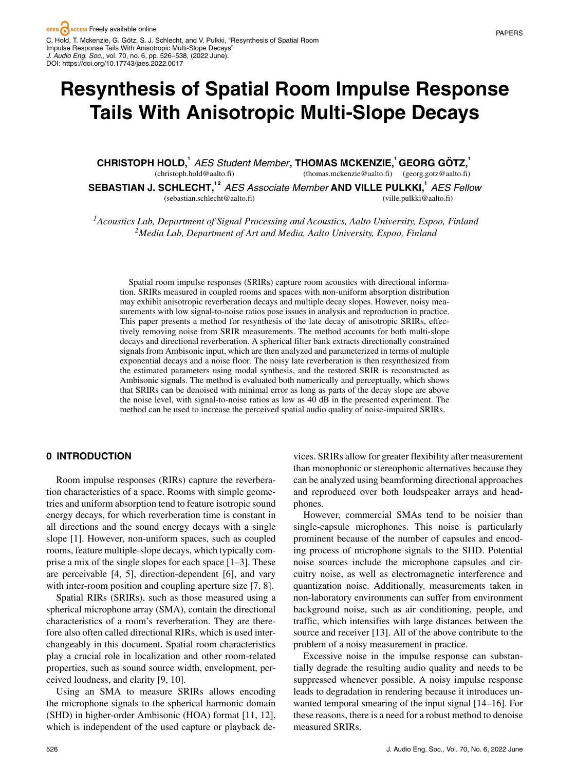# **Resynthesis of Spatial Room Impulse Response Tails With Anisotropic Multi-Slope Decays**

**CHRISTOPH HOLD,<sup>1</sup>** *AES Student Member* **, THOMAS MCKENZIE,<sup>1</sup> GEORG GOTZ, ¨ <sup>1</sup>** (christoph.hold@aalto.fi) (thomas.mckenzie@aalto.fi) (georg.gotz@aalto.fi) **SEBASTIAN J. SCHLECHT,1 2** *AES Associate Member* **AND VILLE PULKKI,<sup>1</sup>** *AES Fellow* (sebastian.schlecht@aalto.fi) (ville.pulkki@aalto.fi)

*1Acoustics Lab, Department of Signal Processing and Acoustics, Aalto University, Espoo, Finland 2Media Lab, Department of Art and Media, Aalto University, Espoo, Finland*

Spatial room impulse responses (SRIRs) capture room acoustics with directional information. SRIRs measured in coupled rooms and spaces with non-uniform absorption distribution may exhibit anisotropic reverberation decays and multiple decay slopes. However, noisy measurements with low signal-to-noise ratios pose issues in analysis and reproduction in practice. This paper presents a method for resynthesis of the late decay of anisotropic SRIRs, effectively removing noise from SRIR measurements. The method accounts for both multi-slope decays and directional reverberation. A spherical filter bank extracts directionally constrained signals from Ambisonic input, which are then analyzed and parameterized in terms of multiple exponential decays and a noise floor. The noisy late reverberation is then resynthesized from the estimated parameters using modal synthesis, and the restored SRIR is reconstructed as Ambisonic signals. The method is evaluated both numerically and perceptually, which shows that SRIRs can be denoised with minimal error as long as parts of the decay slope are above the noise level, with signal-to-noise ratios as low as 40 dB in the presented experiment. The method can be used to increase the perceived spatial audio quality of noise-impaired SRIRs.

## **0 INTRODUCTION**

Room impulse responses (RIRs) capture the reverberation characteristics of a space. Rooms with simple geometries and uniform absorption tend to feature isotropic sound energy decays, for which reverberation time is constant in all directions and the sound energy decays with a single slope [1]. However, non-uniform spaces, such as coupled rooms, feature multiple-slope decays, which typically comprise a mix of the single slopes for each space [1–3]. These are perceivable [4, 5], direction-dependent [6], and vary with inter-room position and coupling aperture size [7, 8].

Spatial RIRs (SRIRs), such as those measured using a spherical microphone array (SMA), contain the directional characteristics of a room's reverberation. They are therefore also often called directional RIRs, which is used interchangeably in this document. Spatial room characteristics play a crucial role in localization and other room-related properties, such as sound source width, envelopment, perceived loudness, and clarity [9, 10].

Using an SMA to measure SRIRs allows encoding the microphone signals to the spherical harmonic domain (SHD) in higher-order Ambisonic (HOA) format [11, 12], which is independent of the used capture or playback de-

vices. SRIRs allow for greater flexibility after measurement than monophonic or stereophonic alternatives because they can be analyzed using beamforming directional approaches and reproduced over both loudspeaker arrays and headphones.

However, commercial SMAs tend to be noisier than single-capsule microphones. This noise is particularly prominent because of the number of capsules and encoding process of microphone signals to the SHD. Potential noise sources include the microphone capsules and circuitry noise, as well as electromagnetic interference and quantization noise. Additionally, measurements taken in non-laboratory environments can suffer from environment background noise, such as air conditioning, people, and traffic, which intensifies with large distances between the source and receiver [13]. All of the above contribute to the problem of a noisy measurement in practice.

Excessive noise in the impulse response can substantially degrade the resulting audio quality and needs to be suppressed whenever possible. A noisy impulse response leads to degradation in rendering because it introduces unwanted temporal smearing of the input signal [14–16]. For these reasons, there is a need for a robust method to denoise measured SRIRs.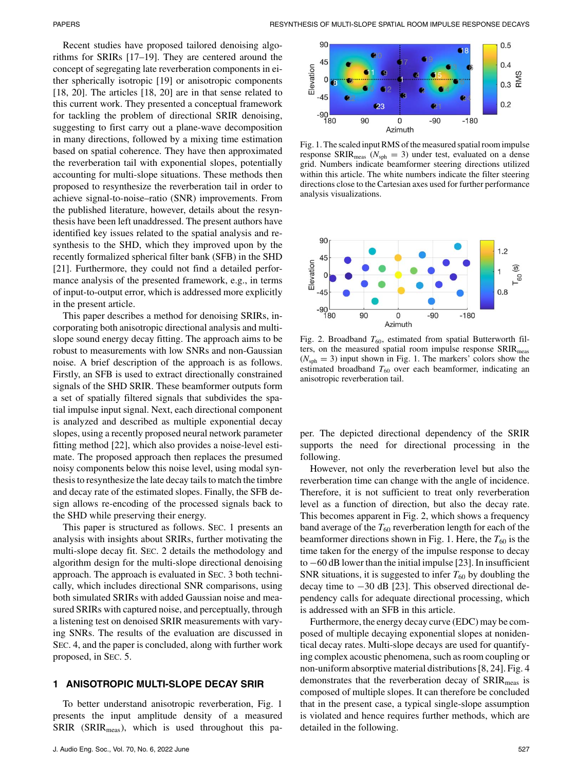Recent studies have proposed tailored denoising algorithms for SRIRs [17–19]. They are centered around the concept of segregating late reverberation components in either spherically isotropic [19] or anisotropic components [18, 20]. The articles [18, 20] are in that sense related to this current work. They presented a conceptual framework for tackling the problem of directional SRIR denoising, suggesting to first carry out a plane-wave decomposition in many directions, followed by a mixing time estimation based on spatial coherence. They have then approximated the reverberation tail with exponential slopes, potentially accounting for multi-slope situations. These methods then proposed to resynthesize the reverberation tail in order to achieve signal-to-noise–ratio (SNR) improvements. From the published literature, however, details about the resynthesis have been left unaddressed. The present authors have identified key issues related to the spatial analysis and resynthesis to the SHD, which they improved upon by the recently formalized spherical filter bank (SFB) in the SHD [21]. Furthermore, they could not find a detailed performance analysis of the presented framework, e.g., in terms of input-to-output error, which is addressed more explicitly in the present article.

This paper describes a method for denoising SRIRs, incorporating both anisotropic directional analysis and multislope sound energy decay fitting. The approach aims to be robust to measurements with low SNRs and non-Gaussian noise. A brief description of the approach is as follows. Firstly, an SFB is used to extract directionally constrained signals of the SHD SRIR. These beamformer outputs form a set of spatially filtered signals that subdivides the spatial impulse input signal. Next, each directional component is analyzed and described as multiple exponential decay slopes, using a recently proposed neural network parameter fitting method [22], which also provides a noise-level estimate. The proposed approach then replaces the presumed noisy components below this noise level, using modal synthesis to resynthesize the late decay tails to match the timbre and decay rate of the estimated slopes. Finally, the SFB design allows re-encoding of the processed signals back to the SHD while preserving their energy.

This paper is structured as follows. SEC. 1 presents an analysis with insights about SRIRs, further motivating the multi-slope decay fit. SEC. 2 details the methodology and algorithm design for the multi-slope directional denoising approach. The approach is evaluated in SEC. 3 both technically, which includes directional SNR comparisons, using both simulated SRIRs with added Gaussian noise and measured SRIRs with captured noise, and perceptually, through a listening test on denoised SRIR measurements with varying SNRs. The results of the evaluation are discussed in SEC. 4, and the paper is concluded, along with further work proposed, in SEC. 5.

## **1 ANISOTROPIC MULTI-SLOPE DECAY SRIR**

To better understand anisotropic reverberation, Fig. 1 presents the input amplitude density of a measured  $SRIR$  ( $SRIR<sub>meas</sub>$ ), which is used throughout this pa-



Fig. 1. The scaled input RMS of the measured spatial room impulse response  $\text{SRIR}_{\text{meas}}$  ( $N_{\text{sph}} = 3$ ) under test, evaluated on a dense grid. Numbers indicate beamformer steering directions utilized within this article. The white numbers indicate the filter steering directions close to the Cartesian axes used for further performance analysis visualizations.



Fig. 2. Broadband  $T_{60}$ , estimated from spatial Butterworth filters, on the measured spatial room impulse response SRIR<sub>meas</sub>  $(N<sub>sph</sub> = 3)$  input shown in Fig. 1. The markers' colors show the estimated broadband  $T_{60}$  over each beamformer, indicating an anisotropic reverberation tail.

per. The depicted directional dependency of the SRIR supports the need for directional processing in the following.

However, not only the reverberation level but also the reverberation time can change with the angle of incidence. Therefore, it is not sufficient to treat only reverberation level as a function of direction, but also the decay rate. This becomes apparent in Fig. 2, which shows a frequency band average of the  $T_{60}$  reverberation length for each of the beamformer directions shown in Fig. 1. Here, the  $T_{60}$  is the time taken for the energy of the impulse response to decay to −60 dB lower than the initial impulse [23]. In insufficient SNR situations, it is suggested to infer  $T_{60}$  by doubling the decay time to −30 dB [23]. This observed directional dependency calls for adequate directional processing, which is addressed with an SFB in this article.

Furthermore, the energy decay curve (EDC) may be composed of multiple decaying exponential slopes at nonidentical decay rates. Multi-slope decays are used for quantifying complex acoustic phenomena, such as room coupling or non-uniform absorptive material distributions [8, 24]. Fig. 4 demonstrates that the reverberation decay of SRIR<sub>meas</sub> is composed of multiple slopes. It can therefore be concluded that in the present case, a typical single-slope assumption is violated and hence requires further methods, which are detailed in the following.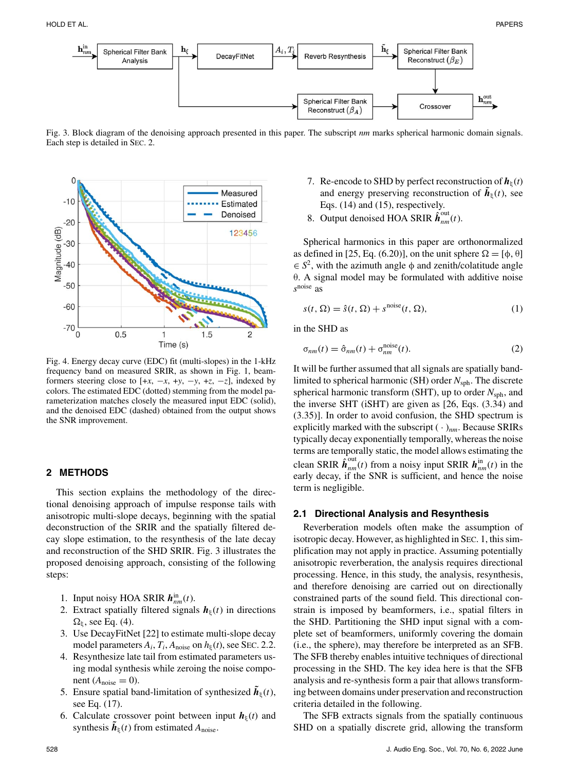

Fig. 3. Block diagram of the denoising approach presented in this paper. The subscript *nm* marks spherical harmonic domain signals. Each step is detailed in SEC. 2.



Fig. 4. Energy decay curve (EDC) fit (multi-slopes) in the 1-kHz frequency band on measured SRIR, as shown in Fig. 1, beamformers steering close to  $[+x, -x, +y, -y, +z, -z]$ , indexed by colors. The estimated EDC (dotted) stemming from the model parameterization matches closely the measured input EDC (solid), and the denoised EDC (dashed) obtained from the output shows the SNR improvement.

## **2 METHODS**

This section explains the methodology of the directional denoising approach of impulse response tails with anisotropic multi-slope decays, beginning with the spatial deconstruction of the SRIR and the spatially filtered decay slope estimation, to the resynthesis of the late decay and reconstruction of the SHD SRIR. Fig. 3 illustrates the proposed denoising approach, consisting of the following steps:

- 1. Input noisy HOA SRIR  $h_{nm}^{\text{in}}(t)$ .
- 2. Extract spatially filtered signals  $h_{\xi}(t)$  in directions  $\Omega_{\xi}$ , see Eq. (4).
- 3. Use DecayFitNet [22] to estimate multi-slope decay model parameters  $A_i$ ,  $T_i$ ,  $A_{noise}$  on  $h_{\xi}(t)$ , see SEC. 2.2.
- 4. Resynthesize late tail from estimated parameters using modal synthesis while zeroing the noise component  $(A_{noise} = 0)$ .
- 5. Ensure spatial band-limitation of synthesized  $\hat{\boldsymbol{h}}_{\epsilon}(t)$ , see Eq. (17).
- 6. Calculate crossover point between input  $h_{\xi}(t)$  and synthesis  $h_{\xi}(t)$  from estimated  $A_{\text{noise}}$ .
- 7. Re-encode to SHD by perfect reconstruction of  $h_{\xi}(t)$ and energy preserving reconstruction of  $\hat{\boldsymbol{h}}_{\epsilon}(t)$ , see Eqs. (14) and (15), respectively.
- 8. Output denoised HOA SRIR  $\hat{\boldsymbol{h}}_{nm}^{out}(t)$ .

Spherical harmonics in this paper are orthonormalized as defined in [25, Eq. (6.20)], on the unit sphere  $\Omega = [\phi, \theta]$  $\in S^2$ , with the azimuth angle  $\phi$  and zenith/colatitude angle θ. A signal model may be formulated with additive noise *s*noise as

$$
s(t, \Omega) = \hat{s}(t, \Omega) + s^{\text{noise}}(t, \Omega), \tag{1}
$$

in the SHD as

$$
\sigma_{nm}(t) = \hat{\sigma}_{nm}(t) + \sigma_{nm}^{\text{noise}}(t). \tag{2}
$$

It will be further assumed that all signals are spatially bandlimited to spherical harmonic (SH) order  $N_{\text{sph}}$ . The discrete spherical harmonic transform (SHT), up to order  $N_{\text{sph}}$ , and the inverse SHT (iSHT) are given as [26, Eqs. (3.34) and (3.35)]. In order to avoid confusion, the SHD spectrum is explicitly marked with the subscript  $(\cdot)_{nm}$ . Because SRIRs typically decay exponentially temporally, whereas the noise terms are temporally static, the model allows estimating the clean SRIR  $\hat{\boldsymbol{h}}_{nm}^{out}(t)$  from a noisy input SRIR  $\boldsymbol{h}_{nm}^{in}(t)$  in the early decay, if the SNR is sufficient, and hence the noise term is negligible.

#### **2.1 Directional Analysis and Resynthesis**

Reverberation models often make the assumption of isotropic decay. However, as highlighted in SEC. 1, this simplification may not apply in practice. Assuming potentially anisotropic reverberation, the analysis requires directional processing. Hence, in this study, the analysis, resynthesis, and therefore denoising are carried out on directionally constrained parts of the sound field. This directional constrain is imposed by beamformers, i.e., spatial filters in the SHD. Partitioning the SHD input signal with a complete set of beamformers, uniformly covering the domain (i.e., the sphere), may therefore be interpreted as an SFB. The SFB thereby enables intuitive techniques of directional processing in the SHD. The key idea here is that the SFB analysis and re-synthesis form a pair that allows transforming between domains under preservation and reconstruction criteria detailed in the following.

The SFB extracts signals from the spatially continuous SHD on a spatially discrete grid, allowing the transform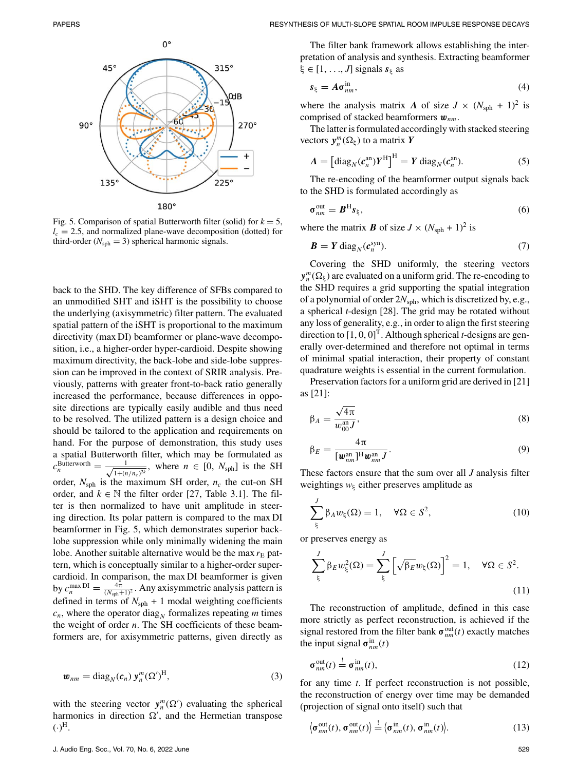

Fig. 5. Comparison of spatial Butterworth filter (solid) for  $k = 5$ ,  $l_c = 2.5$ , and normalized plane-wave decomposition (dotted) for third-order ( $N_{\text{sph}} = 3$ ) spherical harmonic signals.

back to the SHD. The key difference of SFBs compared to an unmodified SHT and iSHT is the possibility to choose the underlying (axisymmetric) filter pattern. The evaluated spatial pattern of the iSHT is proportional to the maximum directivity (max DI) beamformer or plane-wave decomposition, i.e., a higher-order hyper-cardioid. Despite showing maximum directivity, the back-lobe and side-lobe suppression can be improved in the context of SRIR analysis. Previously, patterns with greater front-to-back ratio generally increased the performance, because differences in opposite directions are typically easily audible and thus need to be resolved. The utilized pattern is a design choice and should be tailored to the application and requirements on hand. For the purpose of demonstration, this study uses a spatial Butterworth filter, which may be formulated as  $c_n^{\text{Butterworth}} = \frac{1}{\sqrt{1 + (n/n_c)^2k}}$ , where  $n \in [0, N_{\text{sph}}]$  is the SH order,  $N_{\text{sph}}$  is the maximum SH order,  $n_c$  the cut-on SH order, and  $k \in \mathbb{N}$  the filter order [27, Table 3.1]. The filter is then normalized to have unit amplitude in steering direction. Its polar pattern is compared to the max DI beamformer in Fig. 5, which demonstrates superior backlobe suppression while only minimally widening the main lobe. Another suitable alternative would be the max  $r<sub>E</sub>$  pattern, which is conceptually similar to a higher-order supercardioid. In comparison, the max DI beamformer is given by  $c_n^{\max \text{DI}} = \frac{4\pi}{(N_{\text{sph}}+1)^2}$ . Any axisymmetric analysis pattern is defined in terms of  $N_{\text{sph}} + 1$  modal weighting coefficients  $c_n$ , where the operator diag<sub>N</sub> formalizes repeating *m* times the weight of order *n*. The SH coefficients of these beamformers are, for axisymmetric patterns, given directly as

$$
\boldsymbol{w}_{nm} = \text{diag}_N(\boldsymbol{c}_n) \, \boldsymbol{y}_n^m (\boldsymbol{\Omega}')^{\text{H}},\tag{3}
$$

with the steering vector  $y_n^m(\Omega)$  evaluating the spherical harmonics in direction  $\Omega'$ , and the Hermetian transpose  $(\cdot)^{H}$ .

The filter bank framework allows establishing the interpretation of analysis and synthesis. Extracting beamformer  $\xi \in [1, \ldots, J]$  signals  $s_{\xi}$  as

$$
s_{\xi} = A \sigma_{nm}^{\text{in}},\tag{4}
$$

where the analysis matrix *A* of size  $J \times (N_{\text{sph}} + 1)^2$  is comprised of stacked beamformers **w***nm*.

The latter is formulated accordingly with stacked steering vectors  $y_n^m(\Omega_\xi)$  to a matrix *Y* 

$$
A = \left[ \operatorname{diag}_{N} (c_{n}^{\text{an}}) Y^{\text{H}} \right]^{\text{H}} = Y \operatorname{diag}_{N} (c_{n}^{\text{an}}). \tag{5}
$$

The re-encoding of the beamformer output signals back to the SHD is formulated accordingly as

$$
\sigma_{nm}^{\text{out}} = \boldsymbol{B}^{\text{H}} \boldsymbol{s}_{\xi},\tag{6}
$$

where the matrix *B* of size  $J \times (N_{\text{sph}} + 1)^2$  is

$$
\boldsymbol{B} = \boldsymbol{Y} \operatorname{diag}_N(\boldsymbol{c}_n^{\operatorname{syn}}). \tag{7}
$$

Covering the SHD uniformly, the steering vectors  $y_n^m(\Omega_\xi)$  are evaluated on a uniform grid. The re-encoding to the SHD requires a grid supporting the spatial integration of a polynomial of order 2*N*sph, which is discretized by, e.g., a spherical *t*-design [28]. The grid may be rotated without any loss of generality, e.g., in order to align the first steering direction to  $[1, 0, 0]^T$ . Although spherical *t*-designs are generally over-determined and therefore not optimal in terms of minimal spatial interaction, their property of constant quadrature weights is essential in the current formulation.

Preservation factors for a uniform grid are derived in [21] as [21]:

$$
\beta_A = \frac{\sqrt{4\pi}}{w_{00}^{an}J},\tag{8}
$$

$$
\beta_E = \frac{4\pi}{[\mathbf{w}_{nm}^{\text{an}}]^{\text{H}} \mathbf{w}_{nm}^{\text{an}} J}.
$$
\n(9)

These factors ensure that the sum over all *J* analysis filter weightings  $w_{\xi}$  either preserves amplitude as

$$
\sum_{\xi}^{J} \beta_A w_{\xi}(\Omega) = 1, \quad \forall \Omega \in S^2,
$$
\n(10)

or preserves energy as

$$
\sum_{\xi}^{J} \beta_E w_{\xi}^2(\Omega) = \sum_{\xi}^{J} \left[ \sqrt{\beta_E} w_{\xi}(\Omega) \right]^2 = 1, \quad \forall \Omega \in S^2.
$$
\n(11)

The reconstruction of amplitude, defined in this case more strictly as perfect reconstruction, is achieved if the signal restored from the filter bank  $\sigma_{nm}^{\text{out}}(t)$  exactly matches the input signal  $\sigma_{nm}^{in}(t)$ 

$$
\sigma_{nm}^{\text{out}}(t) \stackrel{!}{=} \sigma_{nm}^{\text{in}}(t),\tag{12}
$$

for any time *t*. If perfect reconstruction is not possible, the reconstruction of energy over time may be demanded (projection of signal onto itself) such that

$$
\langle \sigma_{nm}^{\text{out}}(t), \sigma_{nm}^{\text{out}}(t) \rangle \stackrel{!}{=} \langle \sigma_{nm}^{\text{in}}(t), \sigma_{nm}^{\text{in}}(t) \rangle. \tag{13}
$$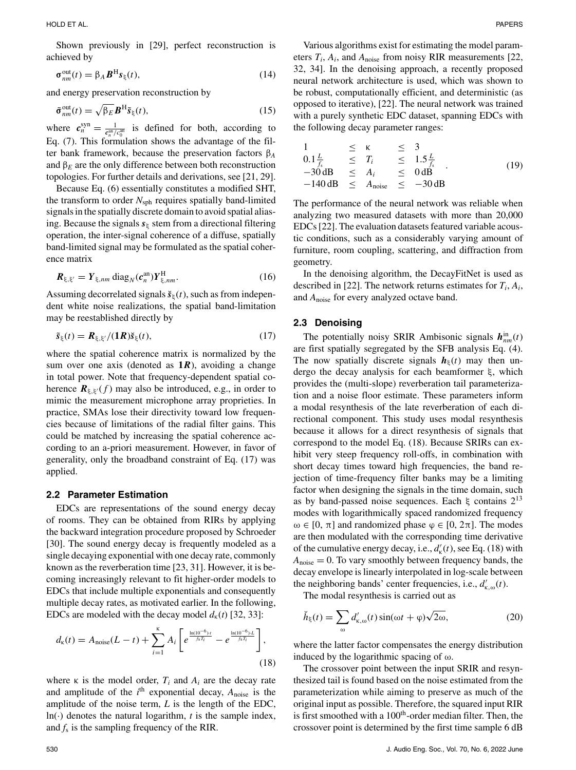Shown previously in [29], perfect reconstruction is achieved by

$$
\sigma_{nm}^{\text{out}}(t) = \beta_A \boldsymbol{B}^{\text{H}} \boldsymbol{s}_{\xi}(t),\tag{14}
$$

and energy preservation reconstruction by

$$
\tilde{\sigma}_{nm}^{\text{out}}(t) = \sqrt{\beta_E} \mathbf{B}^{\text{H}} \tilde{\mathbf{s}}_{\xi}(t),
$$
\n(15)

where  $c_n^{syn} = \frac{1}{c_n^{an}/c_0^{an}}$  is defined for both, according to Eq. (7). This formulation shows the advantage of the filter bank framework, because the preservation factors β*<sup>A</sup>* and  $\beta_E$  are the only difference between both reconstruction topologies. For further details and derivations, see [21, 29].

Because Eq. (6) essentially constitutes a modified SHT, the transform to order  $N_{\text{sph}}$  requires spatially band-limited signals in the spatially discrete domain to avoid spatial aliasing. Because the signals  $s_{\xi}$  stem from a directional filtering operation, the inter-signal coherence of a diffuse, spatially band-limited signal may be formulated as the spatial coherence matrix

$$
\boldsymbol{R}_{\xi,\xi'} = \boldsymbol{Y}_{\xi,nm} \operatorname{diag}_N(\boldsymbol{c}_n^{\text{an}}) \boldsymbol{Y}_{\xi,nm}^{\text{H}}.
$$
 (16)

Assuming decorrelated signals  $\breve{\mathbf{s}}_{\xi}(t)$ , such as from independent white noise realizations, the spatial band-limitation may be reestablished directly by

$$
\tilde{\mathbf{s}}_{\xi}(t) = \mathbf{R}_{\xi, \xi'}/(\mathbf{1}\mathbf{R})\tilde{\mathbf{s}}_{\xi}(t),\tag{17}
$$

where the spatial coherence matrix is normalized by the sum over one axis (denoted as **1***R*), avoiding a change in total power. Note that frequency-dependent spatial coherence  $\mathbf{R}_{\xi, \xi'}(f)$  may also be introduced, e.g., in order to mimic the measurement microphone array proprieties. In practice, SMAs lose their directivity toward low frequencies because of limitations of the radial filter gains. This could be matched by increasing the spatial coherence according to an a-priori measurement. However, in favor of generality, only the broadband constraint of Eq. (17) was applied.

#### **2.2 Parameter Estimation**

EDCs are representations of the sound energy decay of rooms. They can be obtained from RIRs by applying the backward integration procedure proposed by Schroeder [30]. The sound energy decay is frequently modeled as a single decaying exponential with one decay rate, commonly known as the reverberation time [23, 31]. However, it is becoming increasingly relevant to fit higher-order models to EDCs that include multiple exponentials and consequently multiple decay rates, as motivated earlier. In the following, EDCs are modeled with the decay model  $d_{k}(t)$  [32, 33]:

$$
d_{\kappa}(t) = A_{\text{noise}}(L-t) + \sum_{i=1}^{\kappa} A_i \left[ e^{\frac{\ln(10^{-6})_i t}{f_s T_i}} - e^{\frac{\ln(10^{-6})_L}{f_s T_i}} \right],
$$
\n(18)

where  $\kappa$  is the model order,  $T_i$  and  $A_i$  are the decay rate and amplitude of the  $i<sup>th</sup>$  exponential decay,  $A<sub>noise</sub>$  is the amplitude of the noise term, *L* is the length of the EDC, ln( $\cdot$ ) denotes the natural logarithm, *t* is the sample index, and  $f_s$  is the sampling frequency of the RIR.

Various algorithms exist for estimating the model parameters  $T_i$ ,  $A_i$ , and  $A_{noise}$  from noisy RIR measurements [22, 32, 34]. In the denoising approach, a recently proposed neural network architecture is used, which was shown to be robust, computationally efficient, and deterministic (as opposed to iterative), [22]. The neural network was trained with a purely synthetic EDC dataset, spanning EDCs with the following decay parameter ranges:

$$
1 \le \kappa \le 3
$$
  
\n
$$
0.1 \frac{L}{f_s} \le T_i \le 1.5 \frac{L}{f_s}
$$
  
\n
$$
-30 \text{ dB} \le A_i \le 0 \text{ dB}
$$
  
\n
$$
-140 \text{ dB} \le A_{\text{noise}} \le -30 \text{ dB}
$$
  
\n(19)

The performance of the neural network was reliable when analyzing two measured datasets with more than 20,000 EDCs [22]. The evaluation datasets featured variable acoustic conditions, such as a considerably varying amount of furniture, room coupling, scattering, and diffraction from geometry.

In the denoising algorithm, the DecayFitNet is used as described in [22]. The network returns estimates for  $T_i$ ,  $A_i$ , and *A*noise for every analyzed octave band.

#### **2.3 Denoising**

The potentially noisy SRIR Ambisonic signals  $h_{nm}^{in}(t)$ are first spatially segregated by the SFB analysis Eq. (4). The now spatially discrete signals  $h_{\xi}(t)$  may then undergo the decay analysis for each beamformer ξ, which provides the (multi-slope) reverberation tail parameterization and a noise floor estimate. These parameters inform a modal resynthesis of the late reverberation of each directional component. This study uses modal resynthesis because it allows for a direct resynthesis of signals that correspond to the model Eq. (18). Because SRIRs can exhibit very steep frequency roll-offs, in combination with short decay times toward high frequencies, the band rejection of time-frequency filter banks may be a limiting factor when designing the signals in the time domain, such as by band-passed noise sequences. Each ξ contains  $2^{13}$ modes with logarithmically spaced randomized frequency  $ω \in [0, π]$  and randomized phase  $φ \in [0, 2π]$ . The modes are then modulated with the corresponding time derivative of the cumulative energy decay, i.e., *d* <sup>κ</sup>(*t*), see Eq. (18) with  $A_{\text{noise}} = 0$ . To vary smoothly between frequency bands, the decay envelope is linearly interpolated in log-scale between the neighboring bands' center frequencies, i.e., *d* <sup>κ</sup>,<sup>ω</sup>(*t*).

The modal resynthesis is carried out as

$$
\check{h}_{\xi}(t) = \sum_{\omega} d'_{\kappa,\omega}(t) \sin(\omega t + \varphi) \sqrt{2\omega},\tag{20}
$$

where the latter factor compensates the energy distribution induced by the logarithmic spacing of  $\omega$ .

The crossover point between the input SRIR and resynthesized tail is found based on the noise estimated from the parameterization while aiming to preserve as much of the original input as possible. Therefore, the squared input RIR is first smoothed with a 100<sup>th</sup>-order median filter. Then, the crossover point is determined by the first time sample 6 dB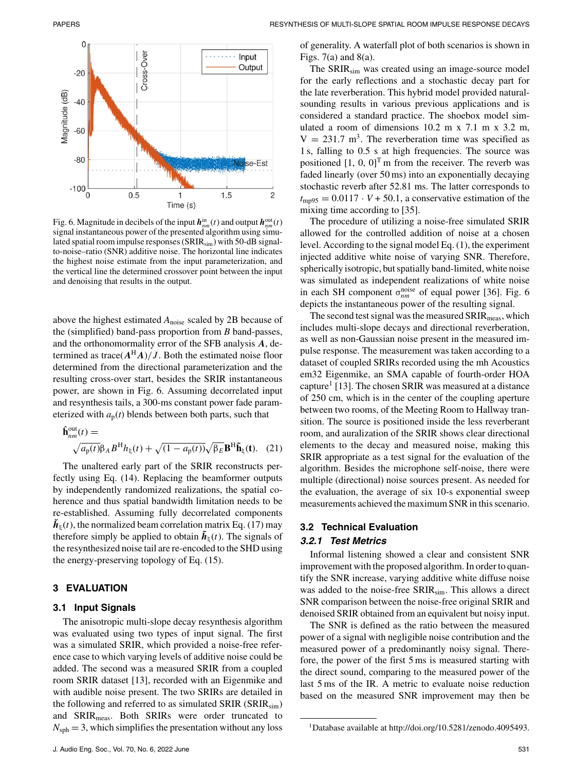

Fig. 6. Magnitude in decibels of the input  $h_{nm}^{\text{in}}(t)$  and output  $h_{nm}^{\text{out}}(t)$ signal instantaneous power of the presented algorithm using simulated spatial room impulse responses (SRIR<sub>sim</sub>) with 50-dB signalto-noise–ratio (SNR) additive noise. The horizontal line indicates the highest noise estimate from the input parameterization, and the vertical line the determined crossover point between the input and denoising that results in the output.

above the highest estimated  $A_{noise}$  scaled by 2B because of the (simplified) band-pass proportion from *B* band-passes, and the orthonomormality error of the SFB analysis *A*, determined as trace( $A^{\rm H}A$ )/*J*. Both the estimated noise floor determined from the directional parameterization and the resulting cross-over start, besides the SRIR instantaneous power, are shown in Fig. 6. Assuming decorrelated input and resynthesis tails, a 300-ms constant power fade parameterized with  $a_p(t)$  blends between both parts, such that

$$
\hat{\mathbf{h}}_{nm}^{\text{out}}(t) = \sqrt{a_p(t)} \beta_A B^H h_{\xi}(t) + \sqrt{(1 - a_p(t))} \sqrt{\beta_E} \mathbf{B}^H \tilde{\mathbf{h}}_{\xi}(t). \quad (21)
$$

The unaltered early part of the SRIR reconstructs perfectly using Eq. (14). Replacing the beamformer outputs by independently randomized realizations, the spatial coherence and thus spatial bandwidth limitation needs to be re-established. Assuming fully decorrelated components  $h_{\xi}(t)$ , the normalized beam correlation matrix Eq. (17) may therefore simply be applied to obtain  $\tilde{h}_{\xi}(t)$ . The signals of the resynthesized noise tail are re-encoded to the SHD using the energy-preserving topology of Eq. (15).

# **3 EVALUATION**

## **3.1 Input Signals**

The anisotropic multi-slope decay resynthesis algorithm was evaluated using two types of input signal. The first was a simulated SRIR, which provided a noise-free reference case to which varying levels of additive noise could be added. The second was a measured SRIR from a coupled room SRIR dataset [13], recorded with an Eigenmike and with audible noise present. The two SRIRs are detailed in the following and referred to as simulated SRIR ( $SRIR_{sim}$ ) and SRIR<sub>meas</sub>. Both SRIRs were order truncated to  $N_{\rm sph} = 3$ , which simplifies the presentation without any loss

of generality. A waterfall plot of both scenarios is shown in Figs.  $7(a)$  and  $8(a)$ .

The SRIR<sub>sim</sub> was created using an image-source model for the early reflections and a stochastic decay part for the late reverberation. This hybrid model provided naturalsounding results in various previous applications and is considered a standard practice. The shoebox model simulated a room of dimensions 10.2 m x 7.1 m x 3.2 m,  $V = 231.7$  m<sup>3</sup>. The reverberation time was specified as 1 s, falling to 0.5 s at high frequencies. The source was positioned  $[1, 0, 0]^T$  m from the receiver. The reverb was faded linearly (over 50 ms) into an exponentially decaying stochastic reverb after 52.81 ms. The latter corresponds to  $t_{\text{mp95}} = 0.0117 \cdot V + 50.1$ , a conservative estimation of the mixing time according to [35].

The procedure of utilizing a noise-free simulated SRIR allowed for the controlled addition of noise at a chosen level. According to the signal model Eq. (1), the experiment injected additive white noise of varying SNR. Therefore, spherically isotropic, but spatially band-limited, white noise was simulated as independent realizations of white noise in each SH component  $\sigma_{nm}^{\text{noise}}$  of equal power [36]. Fig. 6 depicts the instantaneous power of the resulting signal.

The second test signal was the measured  $\text{SRIR}_{\text{meas}}$ , which includes multi-slope decays and directional reverberation, as well as non-Gaussian noise present in the measured impulse response. The measurement was taken according to a dataset of coupled SRIRs recorded using the mh Acoustics em32 Eigenmike, an SMA capable of fourth-order HOA capture<sup>1</sup> [13]. The chosen SRIR was measured at a distance of 250 cm, which is in the center of the coupling aperture between two rooms, of the Meeting Room to Hallway transition. The source is positioned inside the less reverberant room, and auralization of the SRIR shows clear directional elements to the decay and measured noise, making this SRIR appropriate as a test signal for the evaluation of the algorithm. Besides the microphone self-noise, there were multiple (directional) noise sources present. As needed for the evaluation, the average of six 10-s exponential sweep measurements achieved the maximum SNR in this scenario.

# **3.2 Technical Evaluation**

#### *3.2.1 Test Metrics*

Informal listening showed a clear and consistent SNR improvement with the proposed algorithm. In order to quantify the SNR increase, varying additive white diffuse noise was added to the noise-free SRIR<sub>sim</sub>. This allows a direct SNR comparison between the noise-free original SRIR and denoised SRIR obtained from an equivalent but noisy input.

The SNR is defined as the ratio between the measured power of a signal with negligible noise contribution and the measured power of a predominantly noisy signal. Therefore, the power of the first 5 ms is measured starting with the direct sound, comparing to the measured power of the last 5 ms of the IR. A metric to evaluate noise reduction based on the measured SNR improvement may then be

<sup>1</sup>Database available at [http://doi.org/10.5281/zenodo.4095493.](http://doi.org/10.5281/zenodo.4095493)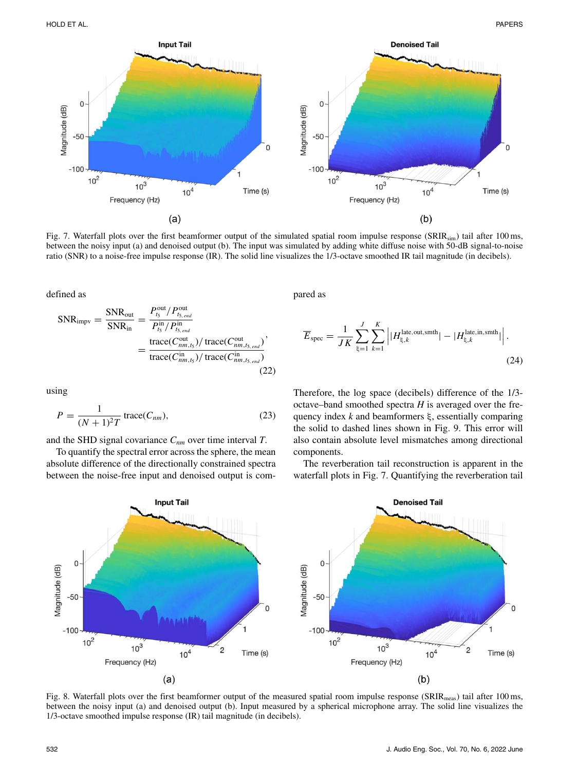

Fig. 7. Waterfall plots over the first beamformer output of the simulated spatial room impulse response (SRIRsim) tail after 100 ms, between the noisy input (a) and denoised output (b). The input was simulated by adding white diffuse noise with 50-dB signal-to-noise ratio (SNR) to a noise-free impulse response (IR). The solid line visualizes the 1/3-octave smoothed IR tail magnitude (in decibels).

defined as

$$
SNR_{\text{impv}} = \frac{SNR_{\text{out}}}{SNR_{\text{in}}} = \frac{P_{ts}^{\text{out}} / P_{ts, end}^{\text{out}}}{P_{ts}^{\text{in}} / P_{ts, end}^{\text{in}}}
$$

$$
= \frac{\text{trace}(C_{nm, ts}^{\text{out}}) / \text{trace}(C_{nm, ts, end}^{\text{out}})}{\text{trace}(C_{nm, ts}^{\text{in}}) / \text{trace}(C_{nm, ts, end}^{\text{in}})} (22)
$$

using

$$
P = \frac{1}{(N+1)^2 T} \operatorname{trace}(C_{nm}),\tag{23}
$$

and the SHD signal covariance *Cnm* over time interval *T*.

To quantify the spectral error across the sphere, the mean absolute difference of the directionally constrained spectra between the noise-free input and denoised output is compared as

$$
\overline{E}_{\text{spec}} = \frac{1}{JK} \sum_{\xi=1}^{J} \sum_{k=1}^{K} \left| |H_{\xi,k}^{\text{late,out,smth}}| - |H_{\xi,k}^{\text{late,in,smth}}| \right|.
$$
\n(24)

Therefore, the log space (decibels) difference of the 1/3 octave–band smoothed spectra *H* is averaged over the frequency index *k* and beamformers ξ, essentially comparing the solid to dashed lines shown in Fig. 9. This error will also contain absolute level mismatches among directional components.

The reverberation tail reconstruction is apparent in the waterfall plots in Fig. 7. Quantifying the reverberation tail



Fig. 8. Waterfall plots over the first beamformer output of the measured spatial room impulse response (SRIR<sub>meas</sub>) tail after 100 ms, between the noisy input (a) and denoised output (b). Input measured by a spherical microphone array. The solid line visualizes the 1/3-octave smoothed impulse response (IR) tail magnitude (in decibels).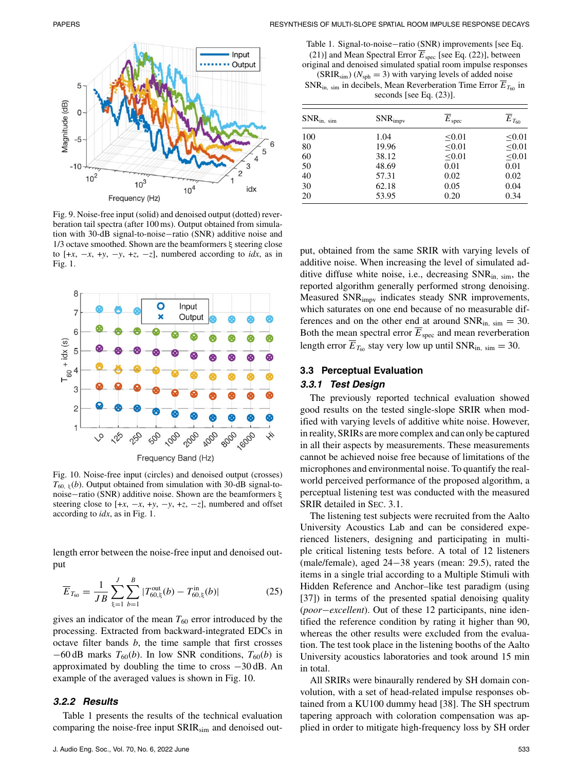

Fig. 9. Noise-free input (solid) and denoised output (dotted) reverberation tail spectra (after 100 ms). Output obtained from simulation with 30-dB signal-to-noise−ratio (SNR) additive noise and 1/3 octave smoothed. Shown are the beamformers ξ steering close to  $[+x, -x, +y, -y, +z, -z]$ , numbered according to *idx*, as in Fig. 1.



Fig. 10. Noise-free input (circles) and denoised output (crosses)  $T_{60, \xi}(b)$ . Output obtained from simulation with 30-dB signal-tonoise−ratio (SNR) additive noise. Shown are the beamformers ξ steering close to  $[+x, -x, +y, -y, +z, -z]$ , numbered and offset according to *idx*, as in Fig. 1.

length error between the noise-free input and denoised output

$$
\overline{E}_{T_{60}} = \frac{1}{JB} \sum_{\xi=1}^{J} \sum_{b=1}^{B} |T_{60,\xi}^{\text{out}}(b) - T_{60,\xi}^{\text{in}}(b)| \tag{25}
$$

gives an indicator of the mean  $T_{60}$  error introduced by the processing. Extracted from backward-integrated EDCs in octave filter bands *b*, the time sample that first crosses  $-60$  dB marks  $T_{60}(b)$ . In low SNR conditions,  $T_{60}(b)$  is approximated by doubling the time to cross −30 dB. An example of the averaged values is shown in Fig. 10.

## *3.2.2 Results*

Table 1 presents the results of the technical evaluation comparing the noise-free input  $SRIR<sub>sim</sub>$  and denoised out-

Table 1. Signal-to-noise−ratio (SNR) improvements [see Eq. (21)] and Mean Spectral Error  $\overline{E}_{\text{spec}}$  [see Eq. (22)], between original and denoised simulated spatial room impulse responses  $(SRIR<sub>sim</sub>)$  ( $N<sub>sph</sub> = 3$ ) with varying levels of added noise  $SNR_{in, sim}$  in decibels, Mean Reverberation Time Error  $E_{T_{60}}$  in seconds [see Eq. (23)].

| $SNR_{in, sim}$ | $SNR_{impv}$ | $\overline{E}_{\textrm{spec}}$ | $\overline{E}_{T_{60}}$ |
|-----------------|--------------|--------------------------------|-------------------------|
| 100             | 1.04         | < 0.01                         | < 0.01                  |
| 80              | 19.96        | < 0.01                         | < 0.01                  |
| 60              | 38.12        | < 0.01                         | < 0.01                  |
| 50              | 48.69        | 0.01                           | 0.01                    |
| 40              | 57.31        | 0.02                           | 0.02                    |
| 30              | 62.18        | 0.05                           | 0.04                    |
| 20              | 53.95        | 0.20                           | 0.34                    |

put, obtained from the same SRIR with varying levels of additive noise. When increasing the level of simulated additive diffuse white noise, i.e., decreasing  $SNR_{in, sim}$ , the reported algorithm generally performed strong denoising. Measured SNRimpv indicates steady SNR improvements, which saturates on one end because of no measurable differences and on the other end at around  $SNR_{in, sim} = 30$ . Both the mean spectral error  $E_{\text{spec}}$  and mean reverberation length error  $\overline{E}_{T_{60}}$  stay very low up until SNR<sub>in, sim</sub> = 30.

# **3.3 Perceptual Evaluation**

## *3.3.1 Test Design*

The previously reported technical evaluation showed good results on the tested single-slope SRIR when modified with varying levels of additive white noise. However, in reality, SRIRs are more complex and can only be captured in all their aspects by measurements. These measurements cannot be achieved noise free because of limitations of the microphones and environmental noise. To quantify the realworld perceived performance of the proposed algorithm, a perceptual listening test was conducted with the measured SRIR detailed in SEC. 3.1.

The listening test subjects were recruited from the Aalto University Acoustics Lab and can be considered experienced listeners, designing and participating in multiple critical listening tests before. A total of 12 listeners (male/female), aged 24−38 years (mean: 29.5), rated the items in a single trial according to a Multiple Stimuli with Hidden Reference and Anchor–like test paradigm (using [37]) in terms of the presented spatial denoising quality (*poor*−*excellent*). Out of these 12 participants, nine identified the reference condition by rating it higher than 90, whereas the other results were excluded from the evaluation. The test took place in the listening booths of the Aalto University acoustics laboratories and took around 15 min in total.

All SRIRs were binaurally rendered by SH domain convolution, with a set of head-related impulse responses obtained from a KU100 dummy head [38]. The SH spectrum tapering approach with coloration compensation was applied in order to mitigate high-frequency loss by SH order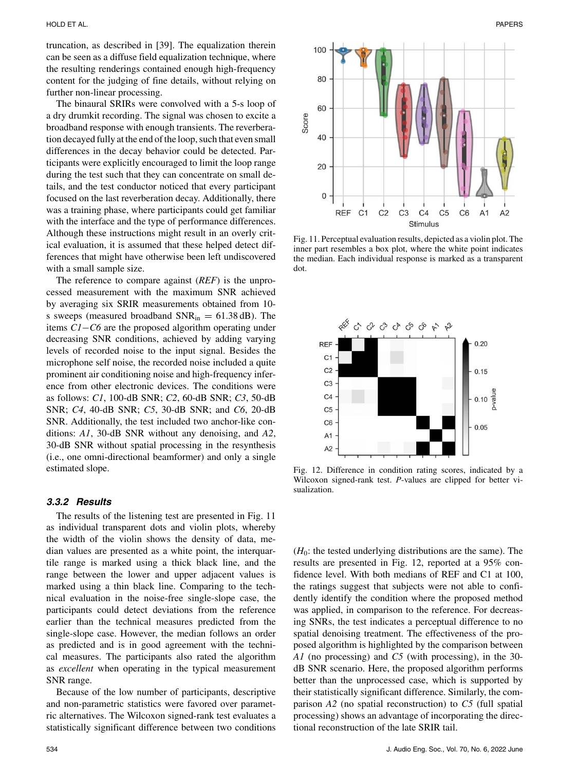truncation, as described in [39]. The equalization therein can be seen as a diffuse field equalization technique, where the resulting renderings contained enough high-frequency content for the judging of fine details, without relying on further non-linear processing.

The binaural SRIRs were convolved with a 5-s loop of a dry drumkit recording. The signal was chosen to excite a broadband response with enough transients. The reverberation decayed fully at the end of the loop, such that even small differences in the decay behavior could be detected. Participants were explicitly encouraged to limit the loop range during the test such that they can concentrate on small details, and the test conductor noticed that every participant focused on the last reverberation decay. Additionally, there was a training phase, where participants could get familiar with the interface and the type of performance differences. Although these instructions might result in an overly critical evaluation, it is assumed that these helped detect differences that might have otherwise been left undiscovered with a small sample size.

The reference to compare against (*REF*) is the unprocessed measurement with the maximum SNR achieved by averaging six SRIR measurements obtained from 10 s sweeps (measured broadband  $SNR_{in} = 61.38$  dB). The items *C1*−*C6* are the proposed algorithm operating under decreasing SNR conditions, achieved by adding varying levels of recorded noise to the input signal. Besides the microphone self noise, the recorded noise included a quite prominent air conditioning noise and high-frequency inference from other electronic devices. The conditions were as follows: *C1*, 100-dB SNR; *C2*, 60-dB SNR; *C3*, 50-dB SNR; *C4*, 40-dB SNR; *C5*, 30-dB SNR; and *C6*, 20-dB SNR. Additionally, the test included two anchor-like conditions: *A1*, 30-dB SNR without any denoising, and *A2*, 30-dB SNR without spatial processing in the resynthesis (i.e., one omni-directional beamformer) and only a single estimated slope.

## *3.3.2 Results*

The results of the listening test are presented in Fig. 11 as individual transparent dots and violin plots, whereby the width of the violin shows the density of data, median values are presented as a white point, the interquartile range is marked using a thick black line, and the range between the lower and upper adjacent values is marked using a thin black line. Comparing to the technical evaluation in the noise-free single-slope case, the participants could detect deviations from the reference earlier than the technical measures predicted from the single-slope case. However, the median follows an order as predicted and is in good agreement with the technical measures. The participants also rated the algorithm as *excellent* when operating in the typical measurement SNR range.

Because of the low number of participants, descriptive and non-parametric statistics were favored over parametric alternatives. The Wilcoxon signed-rank test evaluates a statistically significant difference between two conditions



Fig. 11. Perceptual evaluation results, depicted as a violin plot. The inner part resembles a box plot, where the white point indicates the median. Each individual response is marked as a transparent dot.



Fig. 12. Difference in condition rating scores, indicated by a Wilcoxon signed-rank test. *P*-values are clipped for better visualization.

 $(H<sub>0</sub>)$ : the tested underlying distributions are the same). The results are presented in Fig. 12, reported at a 95% confidence level. With both medians of REF and C1 at 100, the ratings suggest that subjects were not able to confidently identify the condition where the proposed method was applied, in comparison to the reference. For decreasing SNRs, the test indicates a perceptual difference to no spatial denoising treatment. The effectiveness of the proposed algorithm is highlighted by the comparison between *A1* (no processing) and *C5* (with processing), in the 30 dB SNR scenario. Here, the proposed algorithm performs better than the unprocessed case, which is supported by their statistically significant difference. Similarly, the comparison *A2* (no spatial reconstruction) to *C5* (full spatial processing) shows an advantage of incorporating the directional reconstruction of the late SRIR tail.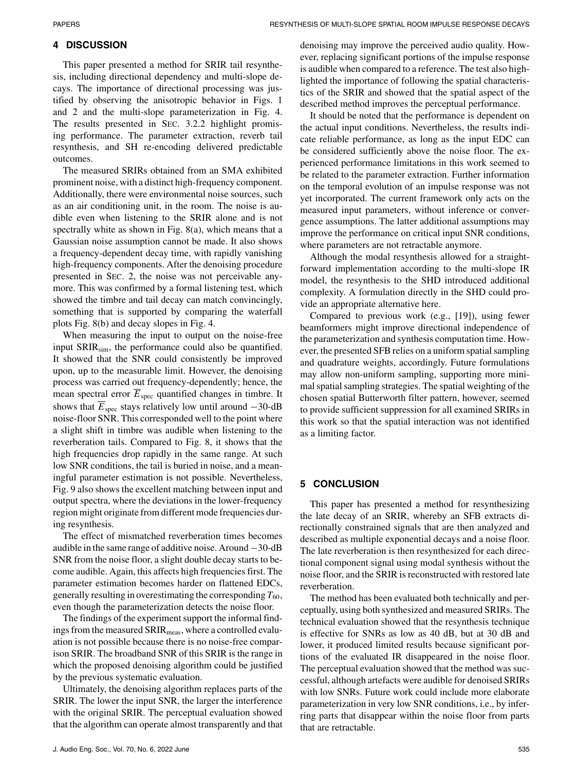# **4 DISCUSSION**

This paper presented a method for SRIR tail resynthesis, including directional dependency and multi-slope decays. The importance of directional processing was justified by observing the anisotropic behavior in Figs. 1 and 2 and the multi-slope parameterization in Fig. 4. The results presented in SEC. 3.2.2 highlight promising performance. The parameter extraction, reverb tail resynthesis, and SH re-encoding delivered predictable outcomes.

The measured SRIRs obtained from an SMA exhibited prominent noise, with a distinct high-frequency component. Additionally, there were environmental noise sources, such as an air conditioning unit, in the room. The noise is audible even when listening to the SRIR alone and is not spectrally white as shown in Fig. 8(a), which means that a Gaussian noise assumption cannot be made. It also shows a frequency-dependent decay time, with rapidly vanishing high-frequency components. After the denoising procedure presented in SEC. 2, the noise was not perceivable anymore. This was confirmed by a formal listening test, which showed the timbre and tail decay can match convincingly, something that is supported by comparing the waterfall plots Fig. 8(b) and decay slopes in Fig. 4.

When measuring the input to output on the noise-free input  $SRIR<sub>sim</sub>$ , the performance could also be quantified. It showed that the SNR could consistently be improved upon, up to the measurable limit. However, the denoising process was carried out frequency-dependently; hence, the mean spectral error  $\overline{E}_{\text{spec}}$  quantified changes in timbre. It shows that  $\overline{E}_{\text{spec}}$  stays relatively low until around  $-30$ -dB noise-floor SNR. This corresponded well to the point where a slight shift in timbre was audible when listening to the reverberation tails. Compared to Fig. 8, it shows that the high frequencies drop rapidly in the same range. At such low SNR conditions, the tail is buried in noise, and a meaningful parameter estimation is not possible. Nevertheless, Fig. 9 also shows the excellent matching between input and output spectra, where the deviations in the lower-frequency region might originate from different mode frequencies during resynthesis.

The effect of mismatched reverberation times becomes audible in the same range of additive noise. Around −30-dB SNR from the noise floor, a slight double decay starts to become audible. Again, this affects high frequencies first. The parameter estimation becomes harder on flattened EDCs, generally resulting in overestimating the corresponding  $T_{60}$ , even though the parameterization detects the noise floor.

The findings of the experiment support the informal findings from the measured SRIR<sub>meas</sub>, where a controlled evaluation is not possible because there is no noise-free comparison SRIR. The broadband SNR of this SRIR is the range in which the proposed denoising algorithm could be justified by the previous systematic evaluation.

Ultimately, the denoising algorithm replaces parts of the SRIR. The lower the input SNR, the larger the interference with the original SRIR. The perceptual evaluation showed that the algorithm can operate almost transparently and that

J. Audio Eng. Soc., Vol. 70, No. 6, 2022 June 535

denoising may improve the perceived audio quality. However, replacing significant portions of the impulse response is audible when compared to a reference. The test also highlighted the importance of following the spatial characteristics of the SRIR and showed that the spatial aspect of the described method improves the perceptual performance.

It should be noted that the performance is dependent on the actual input conditions. Nevertheless, the results indicate reliable performance, as long as the input EDC can be considered sufficiently above the noise floor. The experienced performance limitations in this work seemed to be related to the parameter extraction. Further information on the temporal evolution of an impulse response was not yet incorporated. The current framework only acts on the measured input parameters, without inference or convergence assumptions. The latter additional assumptions may improve the performance on critical input SNR conditions, where parameters are not retractable anymore.

Although the modal resynthesis allowed for a straightforward implementation according to the multi-slope IR model, the resynthesis to the SHD introduced additional complexity. A formulation directly in the SHD could provide an appropriate alternative here.

Compared to previous work (e.g., [19]), using fewer beamformers might improve directional independence of the parameterization and synthesis computation time. However, the presented SFB relies on a uniform spatial sampling and quadrature weights, accordingly. Future formulations may allow non-uniform sampling, supporting more minimal spatial sampling strategies. The spatial weighting of the chosen spatial Butterworth filter pattern, however, seemed to provide sufficient suppression for all examined SRIRs in this work so that the spatial interaction was not identified as a limiting factor.

# **5 CONCLUSION**

This paper has presented a method for resynthesizing the late decay of an SRIR, whereby an SFB extracts directionally constrained signals that are then analyzed and described as multiple exponential decays and a noise floor. The late reverberation is then resynthesized for each directional component signal using modal synthesis without the noise floor, and the SRIR is reconstructed with restored late reverberation.

The method has been evaluated both technically and perceptually, using both synthesized and measured SRIRs. The technical evaluation showed that the resynthesis technique is effective for SNRs as low as 40 dB, but at 30 dB and lower, it produced limited results because significant portions of the evaluated IR disappeared in the noise floor. The perceptual evaluation showed that the method was successful, although artefacts were audible for denoised SRIRs with low SNRs. Future work could include more elaborate parameterization in very low SNR conditions, i.e., by inferring parts that disappear within the noise floor from parts that are retractable.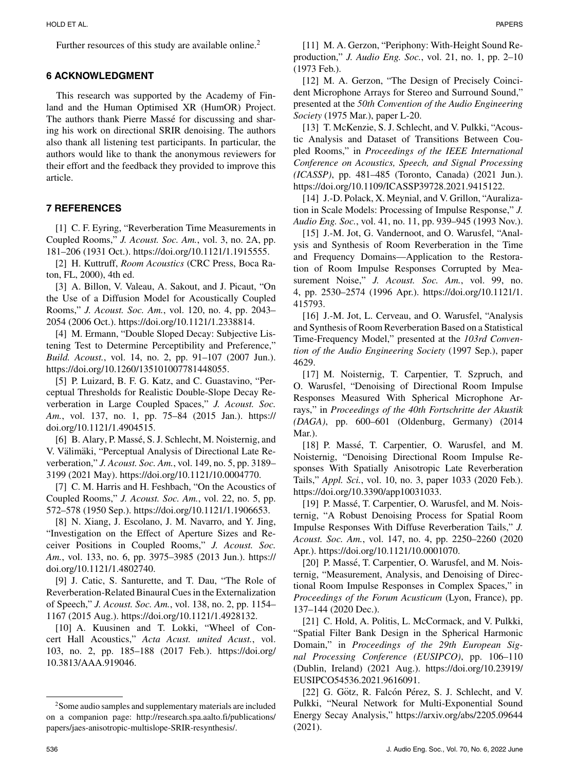Further resources of this study are available online.<sup>2</sup>

# **6 ACKNOWLEDGMENT**

This research was supported by the Academy of Finland and the Human Optimised XR (HumOR) Project. The authors thank Pierre Massé for discussing and sharing his work on directional SRIR denoising. The authors also thank all listening test participants. In particular, the authors would like to thank the anonymous reviewers for their effort and the feedback they provided to improve this article.

# **7 REFERENCES**

[1] C. F. Eyring, "Reverberation Time Measurements in Coupled Rooms," *J. Acoust. Soc. Am.*, vol. 3, no. 2A, pp. 181–206 (1931 Oct.). https://doi.org/10.1121/1.1915555.

[2] H. Kuttruff, *Room Acoustics* (CRC Press, Boca Raton, FL, 2000), 4th ed.

[3] A. Billon, V. Valeau, A. Sakout, and J. Picaut, "On the Use of a Diffusion Model for Acoustically Coupled Rooms," *J. Acoust. Soc. Am.*, vol. 120, no. 4, pp. 2043– 2054 (2006 Oct.). https://doi.org/10.1121/1.2338814.

[4] M. Ermann, "Double Sloped Decay: Subjective Listening Test to Determine Perceptibility and Preference," *Build. Acoust.*, vol. 14, no. 2, pp. 91–107 (2007 Jun.). https://doi.org/10.1260/135101007781448055.

[5] P. Luizard, B. F. G. Katz, and C. Guastavino, "Perceptual Thresholds for Realistic Double-Slope Decay Reverberation in Large Coupled Spaces," *J. Acoust. Soc. Am.*, vol. 137, no. 1, pp. 75–84 (2015 Jan.). https:// doi.org/10.1121/1.4904515.

[6] B. Alary, P. Massé, S. J. Schlecht, M. Noisternig, and V. Välimäki, "Perceptual Analysis of Directional Late Reverberation," *J. Acoust. Soc. Am.*, vol. 149, no. 5, pp. 3189– 3199 (2021 May). https://doi.org/10.1121/10.0004770.

[7] C. M. Harris and H. Feshbach, "On the Acoustics of Coupled Rooms," *J. Acoust. Soc. Am.*, vol. 22, no. 5, pp. 572–578 (1950 Sep.). https://doi.org/10.1121/1.1906653.

[8] N. Xiang, J. Escolano, J. M. Navarro, and Y. Jing, "Investigation on the Effect of Aperture Sizes and Receiver Positions in Coupled Rooms," *J. Acoust. Soc. Am.*, vol. 133, no. 6, pp. 3975–3985 (2013 Jun.). https:// doi.org/10.1121/1.4802740.

[9] J. Catic, S. Santurette, and T. Dau, "The Role of Reverberation-Related Binaural Cues in the Externalization of Speech," *J. Acoust. Soc. Am.*, vol. 138, no. 2, pp. 1154– 1167 (2015 Aug.). https://doi.org/10.1121/1.4928132.

[10] A. Kuusinen and T. Lokki, "Wheel of Concert Hall Acoustics," *Acta Acust. united Acust.*, vol. 103, no. 2, pp. 185–188 (2017 Feb.). https://doi.org/ 10.3813/AAA.919046.

[11] M. A. Gerzon, "Periphony: With-Height Sound Reproduction," *J. Audio Eng. Soc.*, vol. 21, no. 1, pp. 2–10 (1973 Feb.).

[12] M. A. Gerzon, "The Design of Precisely Coincident Microphone Arrays for Stereo and Surround Sound," presented at the *50th Convention of the Audio Engineering Society* (1975 Mar.), paper L-20.

[13] T. McKenzie, S. J. Schlecht, and V. Pulkki, "Acoustic Analysis and Dataset of Transitions Between Coupled Rooms," in *Proceedings of the IEEE International Conference on Acoustics, Speech, and Signal Processing (ICASSP)*, pp. 481–485 (Toronto, Canada) (2021 Jun.). https://doi.org/10.1109/ICASSP39728.2021.9415122.

[14] J.-D. Polack, X. Meynial, and V. Grillon, "Auralization in Scale Models: Processing of Impulse Response," *J. Audio Eng. Soc.*, vol. 41, no. 11, pp. 939–945 (1993 Nov.).

[15] J.-M. Jot, G. Vandernoot, and O. Warusfel, "Analysis and Synthesis of Room Reverberation in the Time and Frequency Domains—Application to the Restoration of Room Impulse Responses Corrupted by Measurement Noise," *J. Acoust. Soc. Am.*, vol. 99, no. 4, pp. 2530–2574 (1996 Apr.). https://doi.org/10.1121/1. 415793.

[16] J.-M. Jot, L. Cerveau, and O. Warusfel, "Analysis and Synthesis of Room Reverberation Based on a Statistical Time-Frequency Model," presented at the *103rd Convention of the Audio Engineering Society* (1997 Sep.), paper 4629.

[17] M. Noisternig, T. Carpentier, T. Szpruch, and O. Warusfel, "Denoising of Directional Room Impulse Responses Measured With Spherical Microphone Arrays," in *Proceedings of the 40th Fortschritte der Akustik (DAGA)*, pp. 600–601 (Oldenburg, Germany) (2014 Mar.).

[18] P. Massé, T. Carpentier, O. Warusfel, and M. Noisternig, "Denoising Directional Room Impulse Responses With Spatially Anisotropic Late Reverberation Tails," *Appl. Sci.*, vol. 10, no. 3, paper 1033 (2020 Feb.). https://doi.org/10.3390/app10031033.

[19] P. Massé, T. Carpentier, O. Warusfel, and M. Noisternig, "A Robust Denoising Process for Spatial Room Impulse Responses With Diffuse Reverberation Tails," *J. Acoust. Soc. Am.*, vol. 147, no. 4, pp. 2250–2260 (2020 Apr.). https://doi.org/10.1121/10.0001070.

[20] P. Massé, T. Carpentier, O. Warusfel, and M. Noisternig, "Measurement, Analysis, and Denoising of Directional Room Impulse Responses in Complex Spaces," in *Proceedings of the Forum Acusticum* (Lyon, France), pp. 137–144 (2020 Dec.).

[21] C. Hold, A. Politis, L. McCormack, and V. Pulkki, "Spatial Filter Bank Design in the Spherical Harmonic Domain," in *Proceedings of the 29th European Signal Processing Conference (EUSIPCO)*, pp. 106–110 (Dublin, Ireland) (2021 Aug.). https://doi.org/10.23919/ EUSIPCO54536.2021.9616091.

[22] G. Götz, R. Falcón Pérez, S. J. Schlecht, and V. Pulkki, "Neural Network for Multi-Exponential Sound Energy Secay Analysis," https://arxiv.org/abs/2205.09644 (2021).

<sup>&</sup>lt;sup>2</sup>Some audio samples and supplementary materials are included on a companion page: [http://research.spa.aalto.fi/publications/](http://research.spa.aalto.fi/publications/papers/jaes-anisotropic-multislope-SRIR-resynthesis/) [papers/jaes-anisotropic-multislope-SRIR-resynthesis/.](http://research.spa.aalto.fi/publications/papers/jaes-anisotropic-multislope-SRIR-resynthesis/)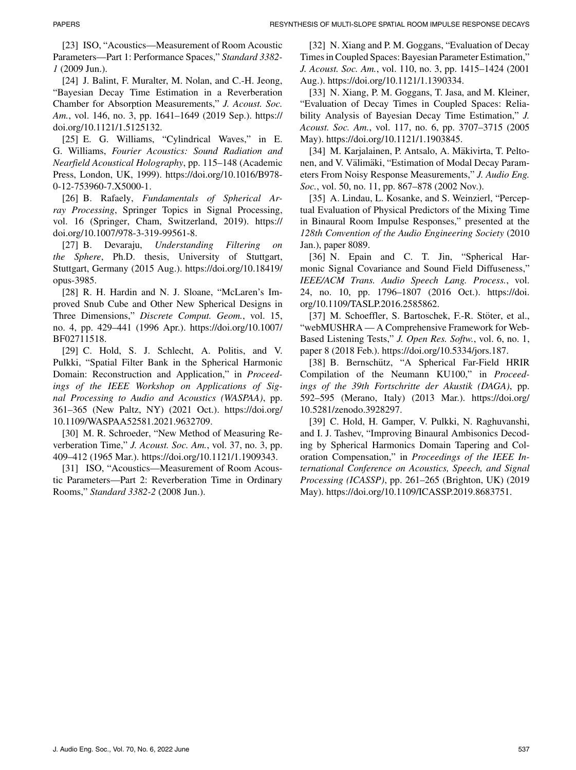[23] ISO, "Acoustics—Measurement of Room Acoustic Parameters—Part 1: Performance Spaces," *Standard 3382- 1* (2009 Jun.).

[24] J. Balint, F. Muralter, M. Nolan, and C.-H. Jeong, "Bayesian Decay Time Estimation in a Reverberation Chamber for Absorption Measurements," *J. Acoust. Soc. Am.*, vol. 146, no. 3, pp. 1641–1649 (2019 Sep.). https:// doi.org/10.1121/1.5125132.

[25] E. G. Williams, "Cylindrical Waves," in E. G. Williams, *Fourier Acoustics: Sound Radiation and Nearfield Acoustical Holography*, pp. 115–148 (Academic Press, London, UK, 1999). https://doi.org/10.1016/B978- 0-12-753960-7.X5000-1.

[26] B. Rafaely, *Fundamentals of Spherical Array Processing*, Springer Topics in Signal Processing, vol. 16 (Springer, Cham, Switzerland, 2019). https:// doi.org/10.1007/978-3-319-99561-8.

[27] B. Devaraju, *Understanding Filtering on the Sphere*, Ph.D. thesis, University of Stuttgart, Stuttgart, Germany (2015 Aug.). https://doi.org/10.18419/ opus-3985.

[28] R. H. Hardin and N. J. Sloane, "McLaren's Improved Snub Cube and Other New Spherical Designs in Three Dimensions," *Discrete Comput. Geom.*, vol. 15, no. 4, pp. 429–441 (1996 Apr.). https://doi.org/10.1007/ BF02711518.

[29] C. Hold, S. J. Schlecht, A. Politis, and V. Pulkki, "Spatial Filter Bank in the Spherical Harmonic Domain: Reconstruction and Application," in *Proceedings of the IEEE Workshop on Applications of Signal Processing to Audio and Acoustics (WASPAA)*, pp. 361–365 (New Paltz, NY) (2021 Oct.). https://doi.org/ 10.1109/WASPAA52581.2021.9632709.

[30] M. R. Schroeder, "New Method of Measuring Reverberation Time," *J. Acoust. Soc. Am.*, vol. 37, no. 3, pp. 409–412 (1965 Mar.). https://doi.org/10.1121/1.1909343.

[31] ISO, "Acoustics—Measurement of Room Acoustic Parameters—Part 2: Reverberation Time in Ordinary Rooms," *Standard 3382-2* (2008 Jun.).

[32] N. Xiang and P. M. Goggans, "Evaluation of Decay Times in Coupled Spaces: Bayesian Parameter Estimation," *J. Acoust. Soc. Am.*, vol. 110, no. 3, pp. 1415–1424 (2001 Aug.). https://doi.org/10.1121/1.1390334.

[33] N. Xiang, P. M. Goggans, T. Jasa, and M. Kleiner, "Evaluation of Decay Times in Coupled Spaces: Reliability Analysis of Bayesian Decay Time Estimation," *J. Acoust. Soc. Am.*, vol. 117, no. 6, pp. 3707–3715 (2005 May). https://doi.org/10.1121/1.1903845.

[34] M. Karjalainen, P. Antsalo, A. Mäkivirta, T. Peltonen, and V. Välimäki, "Estimation of Modal Decay Parameters From Noisy Response Measurements," *J. Audio Eng. Soc.*, vol. 50, no. 11, pp. 867–878 (2002 Nov.).

[35] A. Lindau, L. Kosanke, and S. Weinzierl, "Perceptual Evaluation of Physical Predictors of the Mixing Time in Binaural Room Impulse Responses," presented at the *128th Convention of the Audio Engineering Society* (2010 Jan.), paper 8089.

[36] N. Epain and C. T. Jin, "Spherical Harmonic Signal Covariance and Sound Field Diffuseness," *IEEE/ACM Trans. Audio Speech Lang. Process.*, vol. 24, no. 10, pp. 1796–1807 (2016 Oct.). https://doi. org/10.1109/TASLP.2016.2585862.

[37] M. Schoeffler, S. Bartoschek, F.-R. Stöter, et al., "webMUSHRA — A Comprehensive Framework for Web-Based Listening Tests," *J. Open Res. Softw.*, vol. 6, no. 1, paper 8 (2018 Feb.). https://doi.org/10.5334/jors.187.

[38] B. Bernschütz, "A Spherical Far-Field HRIR Compilation of the Neumann KU100," in *Proceedings of the 39th Fortschritte der Akustik (DAGA)*, pp. 592–595 (Merano, Italy) (2013 Mar.). https://doi.org/ 10.5281/zenodo.3928297.

[39] C. Hold, H. Gamper, V. Pulkki, N. Raghuvanshi, and I. J. Tashev, "Improving Binaural Ambisonics Decoding by Spherical Harmonics Domain Tapering and Coloration Compensation," in *Proceedings of the IEEE International Conference on Acoustics, Speech, and Signal Processing (ICASSP)*, pp. 261–265 (Brighton, UK) (2019 May). https://doi.org/10.1109/ICASSP.2019.8683751.